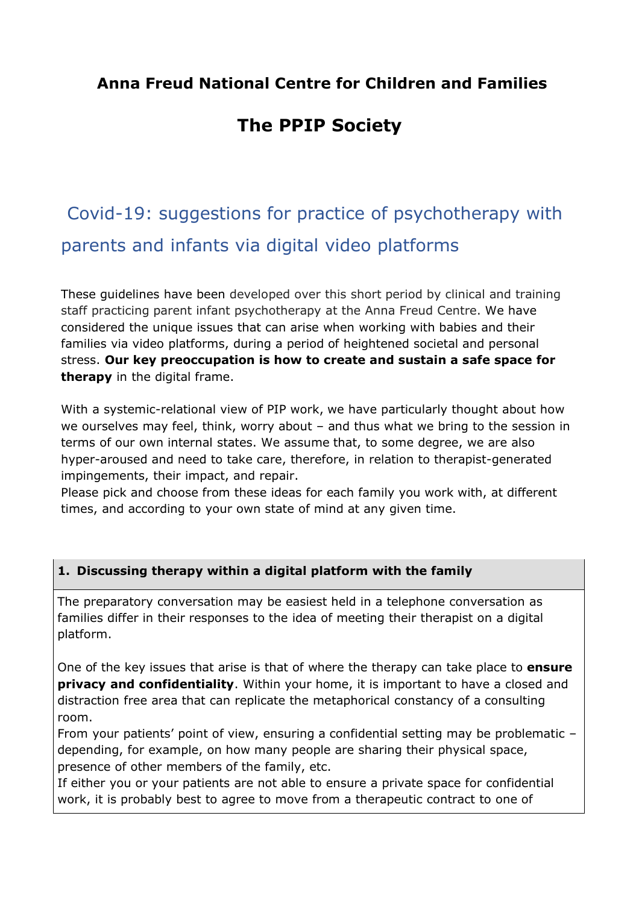## **Anna Freud National Centre for Children and Families**

# **The PPIP Society**

# Covid-19: suggestions for practice of psychotherapy with parents and infants via digital video platforms

These guidelines have been developed over this short period by clinical and training staff practicing parent infant psychotherapy at the Anna Freud Centre. We have considered the unique issues that can arise when working with babies and their families via video platforms, during a period of heightened societal and personal stress. **Our key preoccupation is how to create and sustain a safe space for therapy** in the digital frame.

With a systemic-relational view of PIP work, we have particularly thought about how we ourselves may feel, think, worry about – and thus what we bring to the session in terms of our own internal states. We assume that, to some degree, we are also hyper-aroused and need to take care, therefore, in relation to therapist-generated impingements, their impact, and repair.

Please pick and choose from these ideas for each family you work with, at different times, and according to your own state of mind at any given time.

#### **1. Discussing therapy within a digital platform with the family**

The preparatory conversation may be easiest held in a telephone conversation as families differ in their responses to the idea of meeting their therapist on a digital platform.

One of the key issues that arise is that of where the therapy can take place to **ensure privacy and confidentiality**. Within your home, it is important to have a closed and distraction free area that can replicate the metaphorical constancy of a consulting room.

From your patients' point of view, ensuring a confidential setting may be problematic – depending, for example, on how many people are sharing their physical space, presence of other members of the family, etc.

If either you or your patients are not able to ensure a private space for confidential work, it is probably best to agree to move from a therapeutic contract to one of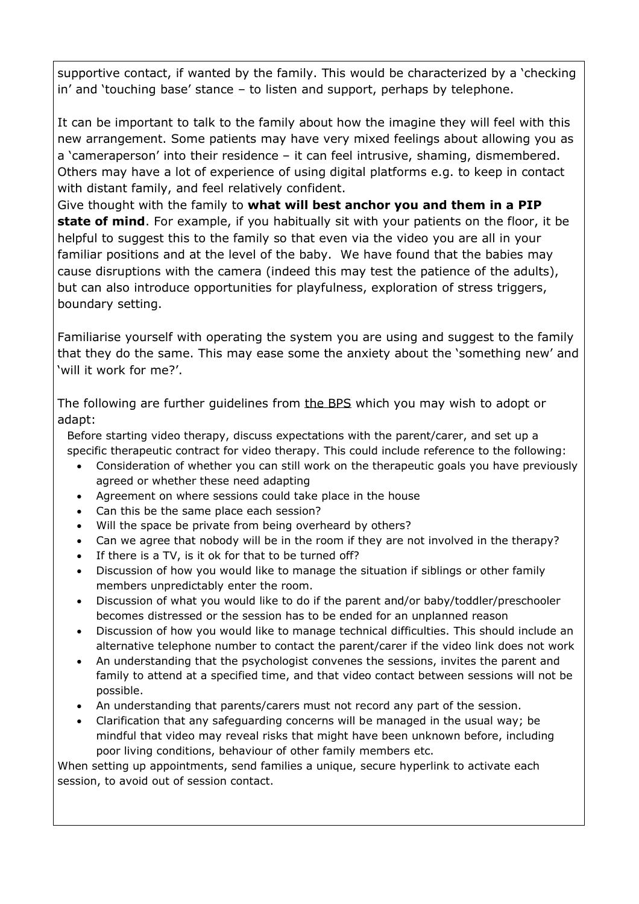supportive contact, if wanted by the family. This would be characterized by a 'checking in' and 'touching base' stance – to listen and support, perhaps by telephone.

It can be important to talk to the family about how the imagine they will feel with this new arrangement. Some patients may have very mixed feelings about allowing you as a 'cameraperson' into their residence – it can feel intrusive, shaming, dismembered. Others may have a lot of experience of using digital platforms e.g. to keep in contact with distant family, and feel relatively confident.

Give thought with the family to **what will best anchor you and them in a PIP state of mind**. For example, if you habitually sit with your patients on the floor, it be helpful to suggest this to the family so that even via the video you are all in your familiar positions and at the level of the baby. We have found that the babies may cause disruptions with the camera (indeed this may test the patience of the adults), but can also introduce opportunities for playfulness, exploration of stress triggers, boundary setting.

Familiarise yourself with operating the system you are using and suggest to the family that they do the same. This may ease some the anxiety about the 'something new' and 'will it work for me?'.

The following are further guidelines from the BPS which you may wish to adopt or adapt:

Before starting video therapy, discuss expectations with the parent/carer, and set up a specific therapeutic contract for video therapy. This could include reference to the following:

- Consideration of whether you can still work on the therapeutic goals you have previously agreed or whether these need adapting
- Agreement on where sessions could take place in the house
- Can this be the same place each session?
- Will the space be private from being overheard by others?
- Can we agree that nobody will be in the room if they are not involved in the therapy?
- If there is a TV, is it ok for that to be turned off?
- Discussion of how you would like to manage the situation if siblings or other family members unpredictably enter the room.
- Discussion of what you would like to do if the parent and/or baby/toddler/preschooler becomes distressed or the session has to be ended for an unplanned reason
- Discussion of how you would like to manage technical difficulties. This should include an alternative telephone number to contact the parent/carer if the video link does not work
- An understanding that the psychologist convenes the sessions, invites the parent and family to attend at a specified time, and that video contact between sessions will not be possible.
- An understanding that parents/carers must not record any part of the session.
- Clarification that any safeguarding concerns will be managed in the usual way; be mindful that video may reveal risks that might have been unknown before, including poor living conditions, behaviour of other family members etc.

When setting up appointments, send families a unique, secure hyperlink to activate each session, to avoid out of session contact.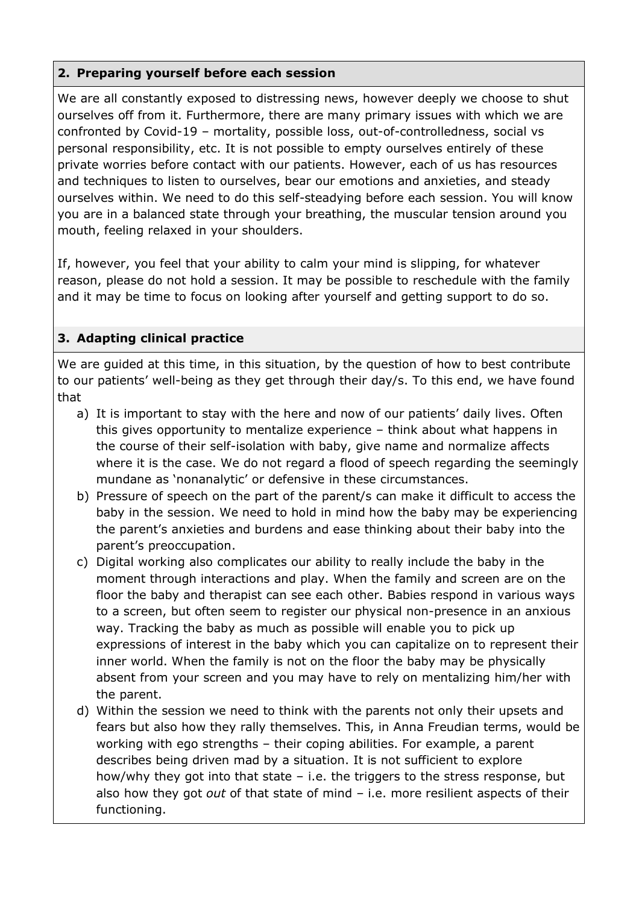### **2. Preparing yourself before each session**

We are all constantly exposed to distressing news, however deeply we choose to shut ourselves off from it. Furthermore, there are many primary issues with which we are confronted by Covid-19 – mortality, possible loss, out-of-controlledness, social vs personal responsibility, etc. It is not possible to empty ourselves entirely of these private worries before contact with our patients. However, each of us has resources and techniques to listen to ourselves, bear our emotions and anxieties, and steady ourselves within. We need to do this self-steadying before each session. You will know you are in a balanced state through your breathing, the muscular tension around you mouth, feeling relaxed in your shoulders.

If, however, you feel that your ability to calm your mind is slipping, for whatever reason, please do not hold a session. It may be possible to reschedule with the family and it may be time to focus on looking after yourself and getting support to do so.

## **3. Adapting clinical practice**

We are guided at this time, in this situation, by the question of how to best contribute to our patients' well-being as they get through their day/s. To this end, we have found that

- a) It is important to stay with the here and now of our patients' daily lives. Often this gives opportunity to mentalize experience – think about what happens in the course of their self-isolation with baby, give name and normalize affects where it is the case. We do not regard a flood of speech regarding the seemingly mundane as 'nonanalytic' or defensive in these circumstances.
- b) Pressure of speech on the part of the parent/s can make it difficult to access the baby in the session. We need to hold in mind how the baby may be experiencing the parent's anxieties and burdens and ease thinking about their baby into the parent's preoccupation.
- c) Digital working also complicates our ability to really include the baby in the moment through interactions and play. When the family and screen are on the floor the baby and therapist can see each other. Babies respond in various ways to a screen, but often seem to register our physical non-presence in an anxious way. Tracking the baby as much as possible will enable you to pick up expressions of interest in the baby which you can capitalize on to represent their inner world. When the family is not on the floor the baby may be physically absent from your screen and you may have to rely on mentalizing him/her with the parent.
- d) Within the session we need to think with the parents not only their upsets and fears but also how they rally themselves. This, in Anna Freudian terms, would be working with ego strengths – their coping abilities. For example, a parent describes being driven mad by a situation. It is not sufficient to explore how/why they got into that state – i.e. the triggers to the stress response, but also how they got *out* of that state of mind – i.e. more resilient aspects of their functioning.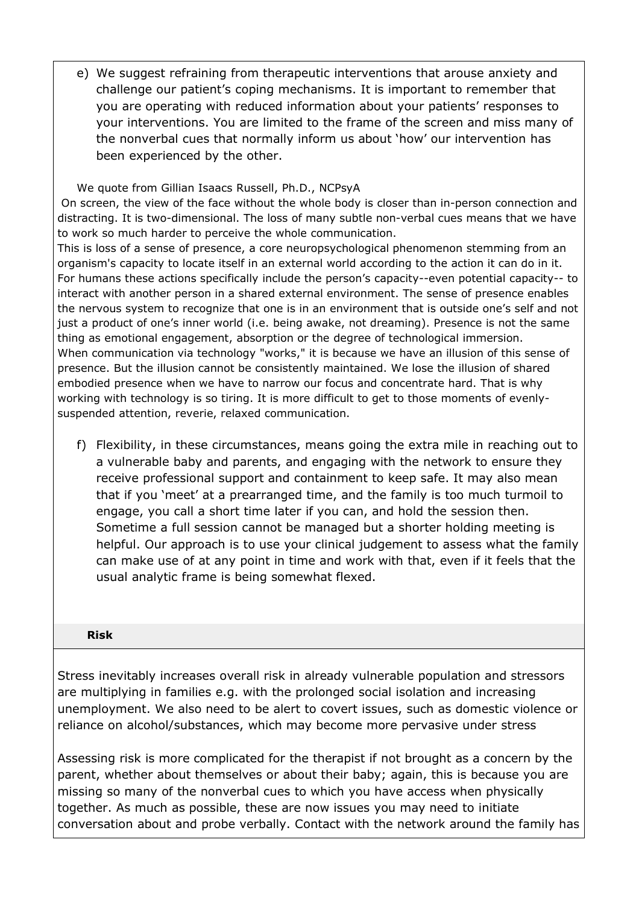e) We suggest refraining from therapeutic interventions that arouse anxiety and challenge our patient's coping mechanisms. It is important to remember that you are operating with reduced information about your patients' responses to your interventions. You are limited to the frame of the screen and miss many of the nonverbal cues that normally inform us about 'how' our intervention has been experienced by the other.

We quote from Gillian Isaacs Russell, Ph.D., NCPsyA On screen, the view of the face without the whole body is closer than in-person connection and distracting. It is two-dimensional. The loss of many subtle non-verbal cues means that we have to work so much harder to perceive the whole communication.

This is loss of a sense of presence, a core neuropsychological phenomenon stemming from an organism's capacity to locate itself in an external world according to the action it can do in it. For humans these actions specifically include the person's capacity--even potential capacity-- to interact with another person in a shared external environment. The sense of presence enables the nervous system to recognize that one is in an environment that is outside one's self and not just a product of one's inner world (i.e. being awake, not dreaming). Presence is not the same thing as emotional engagement, absorption or the degree of technological immersion. When communication via technology "works," it is because we have an illusion of this sense of presence. But the illusion cannot be consistently maintained. We lose the illusion of shared embodied presence when we have to narrow our focus and concentrate hard. That is why working with technology is so tiring. It is more difficult to get to those moments of evenlysuspended attention, reverie, relaxed communication.

f) Flexibility, in these circumstances, means going the extra mile in reaching out to a vulnerable baby and parents, and engaging with the network to ensure they receive professional support and containment to keep safe. It may also mean that if you 'meet' at a prearranged time, and the family is too much turmoil to engage, you call a short time later if you can, and hold the session then. Sometime a full session cannot be managed but a shorter holding meeting is helpful. Our approach is to use your clinical judgement to assess what the family can make use of at any point in time and work with that, even if it feels that the usual analytic frame is being somewhat flexed.

#### **Risk**

Stress inevitably increases overall risk in already vulnerable population and stressors are multiplying in families e.g. with the prolonged social isolation and increasing unemployment. We also need to be alert to covert issues, such as domestic violence or reliance on alcohol/substances, which may become more pervasive under stress

Assessing risk is more complicated for the therapist if not brought as a concern by the parent, whether about themselves or about their baby; again, this is because you are missing so many of the nonverbal cues to which you have access when physically together. As much as possible, these are now issues you may need to initiate conversation about and probe verbally. Contact with the network around the family has